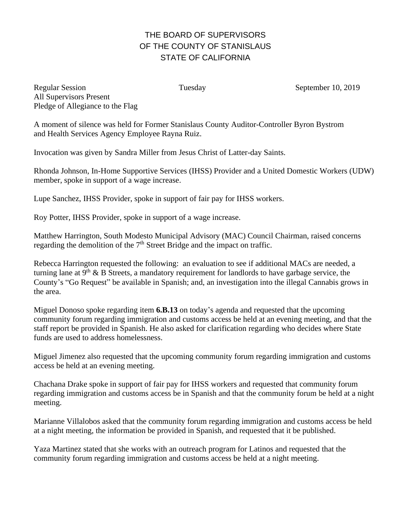## THE BOARD OF SUPERVISORS OF THE COUNTY OF STANISLAUS STATE OF CALIFORNIA

Regular Session Tuesday Tuesday September 10, 2019 All Supervisors Present Pledge of Allegiance to the Flag

A moment of silence was held for Former Stanislaus County Auditor-Controller Byron Bystrom and Health Services Agency Employee Rayna Ruiz.

Invocation was given by Sandra Miller from Jesus Christ of Latter-day Saints.

Rhonda Johnson, In-Home Supportive Services (IHSS) Provider and a United Domestic Workers (UDW) member, spoke in support of a wage increase.

Lupe Sanchez, IHSS Provider, spoke in support of fair pay for IHSS workers.

Roy Potter, IHSS Provider, spoke in support of a wage increase.

Matthew Harrington, South Modesto Municipal Advisory (MAC) Council Chairman, raised concerns regarding the demolition of the 7<sup>th</sup> Street Bridge and the impact on traffic.

Rebecca Harrington requested the following: an evaluation to see if additional MACs are needed, a turning lane at  $9<sup>th</sup>$  & B Streets, a mandatory requirement for landlords to have garbage service, the County's "Go Request" be available in Spanish; and, an investigation into the illegal Cannabis grows in the area.

Miguel Donoso spoke regarding item **6.B.13** on today's agenda and requested that the upcoming community forum regarding immigration and customs access be held at an evening meeting, and that the staff report be provided in Spanish. He also asked for clarification regarding who decides where State funds are used to address homelessness.

Miguel Jimenez also requested that the upcoming community forum regarding immigration and customs access be held at an evening meeting.

Chachana Drake spoke in support of fair pay for IHSS workers and requested that community forum regarding immigration and customs access be in Spanish and that the community forum be held at a night meeting.

Marianne Villalobos asked that the community forum regarding immigration and customs access be held at a night meeting, the information be provided in Spanish, and requested that it be published.

Yaza Martinez stated that she works with an outreach program for Latinos and requested that the community forum regarding immigration and customs access be held at a night meeting.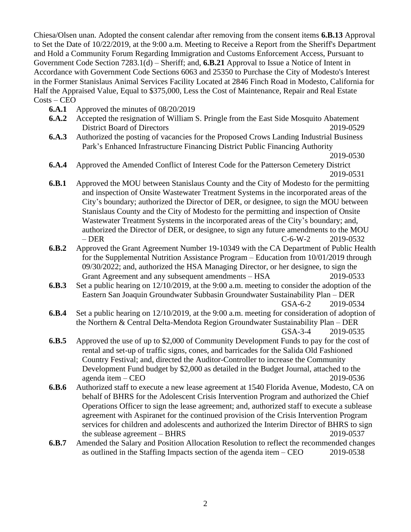Chiesa/Olsen unan. Adopted the consent calendar after removing from the consent items **6.B.13** Approval to Set the Date of 10/22/2019, at the 9:00 a.m. Meeting to Receive a Report from the Sheriff's Department and Hold a Community Forum Regarding Immigration and Customs Enforcement Access, Pursuant to Government Code Section 7283.1(d) – Sheriff; and, **6.B.21** Approval to Issue a Notice of Intent in Accordance with Government Code Sections 6063 and 25350 to Purchase the City of Modesto's Interest in the Former Stanislaus Animal Services Facility Located at 2846 Finch Road in Modesto, California for Half the Appraised Value, Equal to \$375,000, Less the Cost of Maintenance, Repair and Real Estate Costs – CEO

- **6.A.1** Approved the minutes of 08/20/2019
- **6.A.2** Accepted the resignation of William S. Pringle from the East Side Mosquito Abatement District Board of Directors 2019-0529
- **6.A.3** Authorized the posting of vacancies for the Proposed Crows Landing Industrial Business Park's Enhanced Infrastructure Financing District Public Financing Authority

- **6.A.4** Approved the Amended Conflict of Interest Code for the Patterson Cemetery District 2019-0531
- **6.B.1** Approved the MOU between Stanislaus County and the City of Modesto for the permitting and inspection of Onsite Wastewater Treatment Systems in the incorporated areas of the City's boundary; authorized the Director of DER, or designee, to sign the MOU between Stanislaus County and the City of Modesto for the permitting and inspection of Onsite Wastewater Treatment Systems in the incorporated areas of the City's boundary; and, authorized the Director of DER, or designee, to sign any future amendments to the MOU – DER C-6-W-2 2019-0532
- **6.B.2** Approved the Grant Agreement Number 19-10349 with the CA Department of Public Health for the Supplemental Nutrition Assistance Program – Education from 10/01/2019 through 09/30/2022; and, authorized the HSA Managing Director, or her designee, to sign the Grant Agreement and any subsequent amendments – HSA 2019-0533
- **6.B.3** Set a public hearing on 12/10/2019, at the 9:00 a.m. meeting to consider the adoption of the Eastern San Joaquin Groundwater Subbasin Groundwater Sustainability Plan – DER GSA-6-2 2019-0534
- **6.B.4** Set a public hearing on 12/10/2019, at the 9:00 a.m. meeting for consideration of adoption of the Northern & Central Delta-Mendota Region Groundwater Sustainability Plan – DER GSA-3-4 2019-0535
- **6.B.5** Approved the use of up to \$2,000 of Community Development Funds to pay for the cost of rental and set-up of traffic signs, cones, and barricades for the Salida Old Fashioned Country Festival; and, directed the Auditor-Controller to increase the Community Development Fund budget by \$2,000 as detailed in the Budget Journal, attached to the agenda item – CEO 2019-0536
- **6.B.6** Authorized staff to execute a new lease agreement at 1540 Florida Avenue, Modesto, CA on behalf of BHRS for the Adolescent Crisis Intervention Program and authorized the Chief Operations Officer to sign the lease agreement; and, authorized staff to execute a sublease agreement with Aspiranet for the continued provision of the Crisis Intervention Program services for children and adolescents and authorized the Interim Director of BHRS to sign the sublease agreement – BHRS 2019-0537
- **6.B.7** Amended the Salary and Position Allocation Resolution to reflect the recommended changes as outlined in the Staffing Impacts section of the agenda item – CEO 2019-0538

<sup>2019-0530</sup>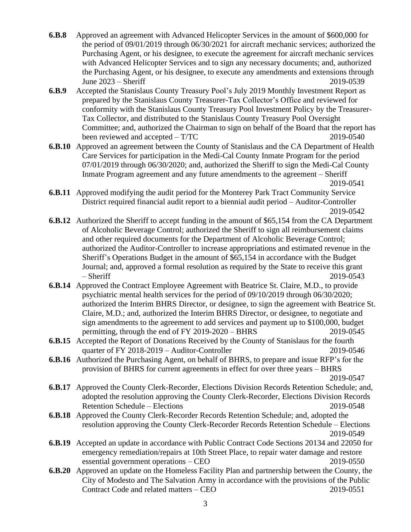- **6.B.8** Approved an agreement with Advanced Helicopter Services in the amount of \$600,000 for the period of 09/01/2019 through 06/30/2021 for aircraft mechanic services; authorized the Purchasing Agent, or his designee, to execute the agreement for aircraft mechanic services with Advanced Helicopter Services and to sign any necessary documents; and, authorized the Purchasing Agent, or his designee, to execute any amendments and extensions through June 2023 – Sheriff 2019-0539
- **6.B.9** Accepted the Stanislaus County Treasury Pool's July 2019 Monthly Investment Report as prepared by the Stanislaus County Treasurer-Tax Collector's Office and reviewed for conformity with the Stanislaus County Treasury Pool Investment Policy by the Treasurer-Tax Collector, and distributed to the Stanislaus County Treasury Pool Oversight Committee; and, authorized the Chairman to sign on behalf of the Board that the report has been reviewed and accepted – T/TC 2019-0540
- **6.B.10** Approved an agreement between the County of Stanislaus and the CA Department of Health Care Services for participation in the Medi-Cal County Inmate Program for the period 07/01/2019 through 06/30/2020; and, authorized the Sheriff to sign the Medi-Cal County Inmate Program agreement and any future amendments to the agreement – Sheriff 2019-0541
- **6.B.11** Approved modifying the audit period for the Monterey Park Tract Community Service District required financial audit report to a biennial audit period – Auditor-Controller 2019-0542
- **6.B.12** Authorized the Sheriff to accept funding in the amount of \$65,154 from the CA Department of Alcoholic Beverage Control; authorized the Sheriff to sign all reimbursement claims and other required documents for the Department of Alcoholic Beverage Control; authorized the Auditor-Controller to increase appropriations and estimated revenue in the Sheriff's Operations Budget in the amount of \$65,154 in accordance with the Budget Journal; and, approved a formal resolution as required by the State to receive this grant – Sheriff 2019-0543
- **6.B.14** Approved the Contract Employee Agreement with Beatrice St. Claire, M.D., to provide psychiatric mental health services for the period of 09/10/2019 through 06/30/2020; authorized the Interim BHRS Director, or designee, to sign the agreement with Beatrice St. Claire, M.D.; and, authorized the Interim BHRS Director, or designee, to negotiate and sign amendments to the agreement to add services and payment up to \$100,000, budget permitting, through the end of FY 2019-2020 – BHRS 2019-0545
- **6.B.15** Accepted the Report of Donations Received by the County of Stanislaus for the fourth quarter of FY 2018-2019 – Auditor-Controller 2019-0546
- **6.B.16** Authorized the Purchasing Agent, on behalf of BHRS, to prepare and issue RFP's for the provision of BHRS for current agreements in effect for over three years – BHRS 2019-0547

**6.B.17** Approved the County Clerk-Recorder, Elections Division Records Retention Schedule; and, adopted the resolution approving the County Clerk-Recorder, Elections Division Records Retention Schedule – Elections 2019-0548

- **6.B.18** Approved the County Clerk-Recorder Records Retention Schedule; and, adopted the resolution approving the County Clerk-Recorder Records Retention Schedule – Elections 2019-0549
- **6.B.19** Accepted an update in accordance with Public Contract Code Sections 20134 and 22050 for emergency remediation/repairs at 10th Street Place, to repair water damage and restore essential government operations – CEO 2019-0550
- **6.B.20** Approved an update on the Homeless Facility Plan and partnership between the County, the City of Modesto and The Salvation Army in accordance with the provisions of the Public Contract Code and related matters – CEO 2019-0551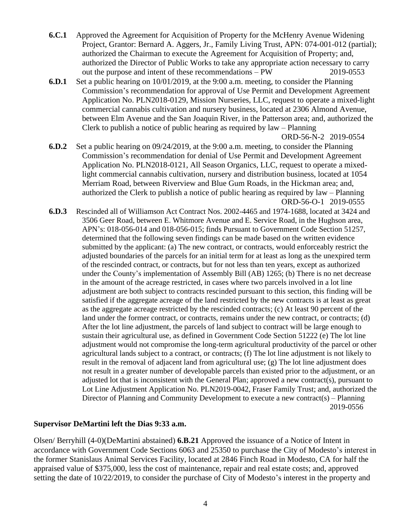- **6.C.1** Approved the Agreement for Acquisition of Property for the McHenry Avenue Widening Project, Grantor: Bernard A. Aggers, Jr., Family Living Trust, APN: 074-001-012 (partial); authorized the Chairman to execute the Agreement for Acquisition of Property; and, authorized the Director of Public Works to take any appropriate action necessary to carry out the purpose and intent of these recommendations – PW 2019-0553
- **6.D.1** Set a public hearing on 10/01/2019, at the 9:00 a.m. meeting, to consider the Planning Commission's recommendation for approval of Use Permit and Development Agreement Application No. PLN2018-0129, Mission Nurseries, LLC, request to operate a mixed-light commercial cannabis cultivation and nursery business, located at 2306 Almond Avenue, between Elm Avenue and the San Joaquin River, in the Patterson area; and, authorized the Clerk to publish a notice of public hearing as required by law – Planning

ORD-56-N-2 2019-0554

- **6.D.2** Set a public hearing on 09/24/2019, at the 9:00 a.m. meeting, to consider the Planning Commission's recommendation for denial of Use Permit and Development Agreement Application No. PLN2018-0121, All Season Organics, LLC, request to operate a mixedlight commercial cannabis cultivation, nursery and distribution business, located at 1054 Merriam Road, between Riverview and Blue Gum Roads, in the Hickman area; and, authorized the Clerk to publish a notice of public hearing as required by law – Planning ORD-56-O-1 2019-0555
- **6.D.3** Rescinded all of Williamson Act Contract Nos. 2002-4465 and 1974-1688, located at 3424 and 3506 Geer Road, between E. Whitmore Avenue and E. Service Road, in the Hughson area, APN's: 018-056-014 and 018-056-015; finds Pursuant to Government Code Section 51257, determined that the following seven findings can be made based on the written evidence submitted by the applicant: (a) The new contract, or contracts, would enforceably restrict the adjusted boundaries of the parcels for an initial term for at least as long as the unexpired term of the rescinded contract, or contracts, but for not less than ten years, except as authorized under the County's implementation of Assembly Bill (AB) 1265; (b) There is no net decrease in the amount of the acreage restricted, in cases where two parcels involved in a lot line adjustment are both subject to contracts rescinded pursuant to this section, this finding will be satisfied if the aggregate acreage of the land restricted by the new contracts is at least as great as the aggregate acreage restricted by the rescinded contracts; (c) At least 90 percent of the land under the former contract, or contracts, remains under the new contract, or contracts; (d) After the lot line adjustment, the parcels of land subject to contract will be large enough to sustain their agricultural use, as defined in Government Code Section 51222 (e) The lot line adjustment would not compromise the long-term agricultural productivity of the parcel or other agricultural lands subject to a contract, or contracts; (f) The lot line adjustment is not likely to result in the removal of adjacent land from agricultural use; (g) The lot line adjustment does not result in a greater number of developable parcels than existed prior to the adjustment, or an adjusted lot that is inconsistent with the General Plan; approved a new contract(s), pursuant to Lot Line Adjustment Application No. PLN2019-0042, Fraser Family Trust; and, authorized the Director of Planning and Community Development to execute a new contract(s) – Planning 2019-0556

## **Supervisor DeMartini left the Dias 9:33 a.m.**

Olsen/ Berryhill (4-0)(DeMartini abstained) **6.B.21** Approved the issuance of a Notice of Intent in accordance with Government Code Sections 6063 and 25350 to purchase the City of Modesto's interest in the former Stanislaus Animal Services Facility, located at 2846 Finch Road in Modesto, CA for half the appraised value of \$375,000, less the cost of maintenance, repair and real estate costs; and, approved setting the date of 10/22/2019, to consider the purchase of City of Modesto's interest in the property and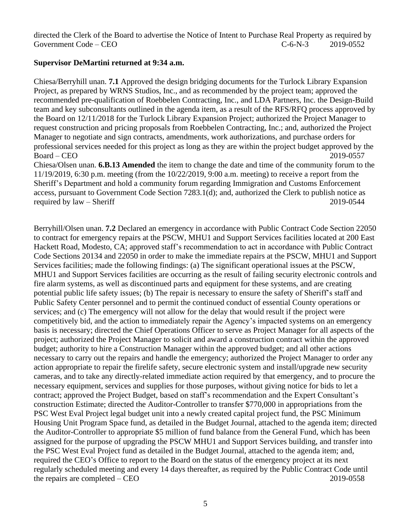directed the Clerk of the Board to advertise the Notice of Intent to Purchase Real Property as required by Government Code – CEO  $C=6-N-3$  2019-0552

## **Supervisor DeMartini returned at 9:34 a.m.**

Chiesa/Berryhill unan. **7.1** Approved the design bridging documents for the Turlock Library Expansion Project, as prepared by WRNS Studios, Inc., and as recommended by the project team; approved the recommended pre-qualification of Roebbelen Contracting, Inc., and LDA Partners, Inc. the Design-Build team and key subconsultants outlined in the agenda item, as a result of the RFS/RFQ process approved by the Board on 12/11/2018 for the Turlock Library Expansion Project; authorized the Project Manager to request construction and pricing proposals from Roebbelen Contracting, Inc.; and, authorized the Project Manager to negotiate and sign contracts, amendments, work authorizations, and purchase orders for professional services needed for this project as long as they are within the project budget approved by the Board – CEO 2019-0557 Chiesa/Olsen unan. **6.B.13 Amended** the item to change the date and time of the community forum to the 11/19/2019, 6:30 p.m. meeting (from the 10/22/2019, 9:00 a.m. meeting) to receive a report from the Sheriff's Department and hold a community forum regarding Immigration and Customs Enforcement

access, pursuant to Government Code Section 7283.1(d); and, authorized the Clerk to publish notice as required by law – Sheriff 2019-0544

Berryhill/Olsen unan. **7.2** Declared an emergency in accordance with Public Contract Code Section 22050 to contract for emergency repairs at the PSCW, MHU1 and Support Services facilities located at 200 East Hackett Road, Modesto, CA; approved staff's recommendation to act in accordance with Public Contract Code Sections 20134 and 22050 in order to make the immediate repairs at the PSCW, MHU1 and Support Services facilities; made the following findings: (a) The significant operational issues at the PSCW, MHU1 and Support Services facilities are occurring as the result of failing security electronic controls and fire alarm systems, as well as discontinued parts and equipment for these systems, and are creating potential public life safety issues; (b) The repair is necessary to ensure the safety of Sheriff's staff and Public Safety Center personnel and to permit the continued conduct of essential County operations or services; and (c) The emergency will not allow for the delay that would result if the project were competitively bid, and the action to immediately repair the Agency's impacted systems on an emergency basis is necessary; directed the Chief Operations Officer to serve as Project Manager for all aspects of the project; authorized the Project Manager to solicit and award a construction contract within the approved budget; authority to hire a Construction Manager within the approved budget; and all other actions necessary to carry out the repairs and handle the emergency; authorized the Project Manager to order any action appropriate to repair the firelife safety, secure electronic system and install/upgrade new security cameras, and to take any directly-related immediate action required by that emergency, and to procure the necessary equipment, services and supplies for those purposes, without giving notice for bids to let a contract; approved the Project Budget, based on staff's recommendation and the Expert Consultant's construction Estimate; directed the Auditor-Controller to transfer \$770,000 in appropriations from the PSC West Eval Project legal budget unit into a newly created capital project fund, the PSC Minimum Housing Unit Program Space fund, as detailed in the Budget Journal, attached to the agenda item; directed the Auditor-Controller to appropriate \$5 million of fund balance from the General Fund, which has been assigned for the purpose of upgrading the PSCW MHU1 and Support Services building, and transfer into the PSC West Eval Project fund as detailed in the Budget Journal, attached to the agenda item; and, required the CEO's Office to report to the Board on the status of the emergency project at its next regularly scheduled meeting and every 14 days thereafter, as required by the Public Contract Code until the repairs are completed – CEO 2019-0558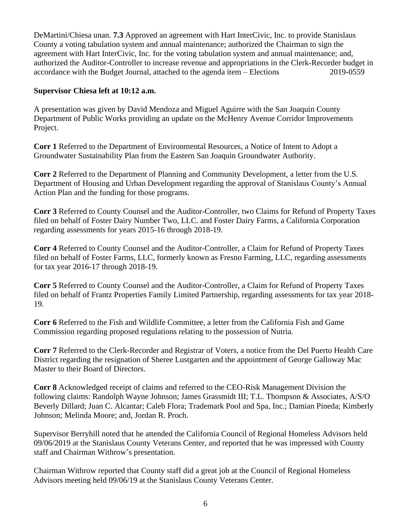DeMartini/Chiesa unan. **7.3** Approved an agreement with Hart InterCivic, Inc. to provide Stanislaus County a voting tabulation system and annual maintenance; authorized the Chairman to sign the agreement with Hart InterCivic, Inc. for the voting tabulation system and annual maintenance; and, authorized the Auditor-Controller to increase revenue and appropriations in the Clerk-Recorder budget in accordance with the Budget Journal, attached to the agenda item – Elections 2019-0559

## **Supervisor Chiesa left at 10:12 a.m.**

A presentation was given by David Mendoza and Miguel Aguirre with the San Joaquin County Department of Public Works providing an update on the McHenry Avenue Corridor Improvements Project.

**Corr 1** Referred to the Department of Environmental Resources, a Notice of Intent to Adopt a Groundwater Sustainability Plan from the Eastern San Joaquin Groundwater Authority.

**Corr 2** Referred to the Department of Planning and Community Development, a letter from the U.S. Department of Housing and Urban Development regarding the approval of Stanislaus County's Annual Action Plan and the funding for those programs.

**Corr 3** Referred to County Counsel and the Auditor-Controller, two Claims for Refund of Property Taxes filed on behalf of Foster Dairy Number Two, LLC. and Foster Dairy Farms, a California Corporation regarding assessments for years 2015-16 through 2018-19.

**Corr 4** Referred to County Counsel and the Auditor-Controller, a Claim for Refund of Property Taxes filed on behalf of Foster Farms, LLC, formerly known as Fresno Farming, LLC, regarding assessments for tax year 2016-17 through 2018-19.

**Corr 5** Referred to County Counsel and the Auditor-Controller, a Claim for Refund of Property Taxes filed on behalf of Frantz Properties Family Limited Partnership, regarding assessments for tax year 2018- 19.

**Corr 6** Referred to the Fish and Wildlife Committee, a letter from the California Fish and Game Commission regarding proposed regulations relating to the possession of Nutria.

**Corr 7** Referred to the Clerk-Recorder and Registrar of Voters, a notice from the Del Puerto Health Care District regarding the resignation of Sheree Lustgarten and the appointment of George Galloway Mac Master to their Board of Directors.

**Corr 8** Acknowledged receipt of claims and referred to the CEO-Risk Management Division the following claims: Randolph Wayne Johnson; James Grassmidt III; T.L. Thompson & Associates, A/S/O Beverly Dillard; Juan C. Alcantar; Caleb Flora; Trademark Pool and Spa, Inc.; Damian Pineda; Kimberly Johnson; Melinda Moore; and, Jordan R. Proch.

Supervisor Berryhill noted that he attended the California Council of Regional Homeless Advisors held 09/06/2019 at the Stanislaus County Veterans Center, and reported that he was impressed with County staff and Chairman Withrow's presentation.

Chairman Withrow reported that County staff did a great job at the Council of Regional Homeless Advisors meeting held 09/06/19 at the Stanislaus County Veterans Center.